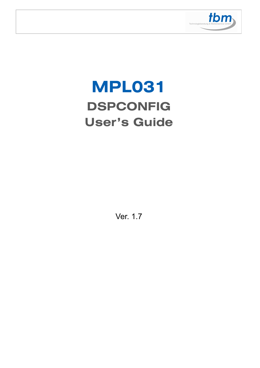

# **MPL031 DSPCONFIG User's Guide**

Ver. 1.7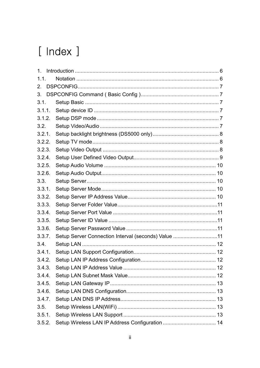# [ Index ]

| $\mathbf 1$ . |                                                     |  |
|---------------|-----------------------------------------------------|--|
| 1.1.          |                                                     |  |
| 2.            |                                                     |  |
| 3.            |                                                     |  |
| 3.1.          |                                                     |  |
| 3.1.1.        |                                                     |  |
| 3.1.2.        |                                                     |  |
| 3.2.          |                                                     |  |
| 3.2.1.        |                                                     |  |
| 3.2.2.        |                                                     |  |
| 3.2.3.        |                                                     |  |
| 3.2.4.        |                                                     |  |
| 3.2.5.        |                                                     |  |
| 3.2.6.        |                                                     |  |
| 3.3.          |                                                     |  |
| 3.3.1.        |                                                     |  |
| 3.3.2.        |                                                     |  |
| 3.3.3.        |                                                     |  |
| 3.3.4.        |                                                     |  |
| 3.3.5.        |                                                     |  |
| 3.3.6.        |                                                     |  |
| 3.3.7.        | Setup Server Connection Interval (seconds) Value 11 |  |
| 3.4.          |                                                     |  |
| 3.4.1.        |                                                     |  |
| 3.4.2.        |                                                     |  |
| 3.4.3.        |                                                     |  |
| 3.4.4.        |                                                     |  |
| 3.4.5.        |                                                     |  |
| 3.4.6.        |                                                     |  |
| 3.4.7.        |                                                     |  |
| 3.5.          |                                                     |  |
| 3.5.1.        |                                                     |  |
| 3.5.2.        |                                                     |  |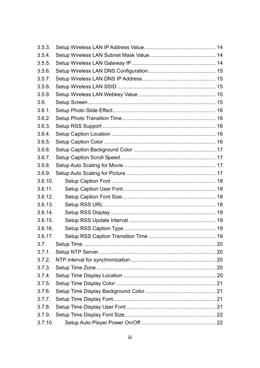| 3.5.3.  |  |
|---------|--|
| 3.5.4.  |  |
| 3.5.5.  |  |
| 3.5.6.  |  |
| 3.5.7.  |  |
| 3.5.8.  |  |
| 3.5.9.  |  |
| 3.6.    |  |
| 3.6.1.  |  |
| 3.6.2.  |  |
| 3.6.3.  |  |
| 3.6.4.  |  |
| 3.6.5.  |  |
| 3.6.6.  |  |
| 3.6.7.  |  |
| 3.6.8.  |  |
| 3.6.9.  |  |
| 3.6.10. |  |
| 3.6.11. |  |
| 3.6.12. |  |
| 3.6.13. |  |
| 3.6.14. |  |
| 3.6.15. |  |
| 3.6.16. |  |
| 3.6.17. |  |
| 3.7.    |  |
| 3.7.1.  |  |
| 3.7.2.  |  |
| 3.7.3.  |  |
| 3.7.4.  |  |
| 3.7.5.  |  |
| 3.7.6.  |  |
| 3.7.7.  |  |
| 3.7.8.  |  |
| 3.7.9.  |  |
| 3.7.10. |  |
|         |  |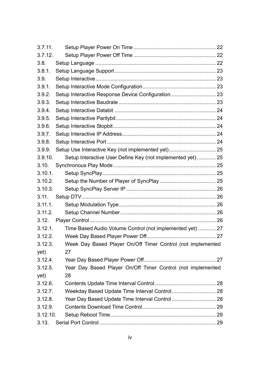| 3.7.11.  |                                                             |  |  |
|----------|-------------------------------------------------------------|--|--|
| 3.7.12.  |                                                             |  |  |
| 3.8.     |                                                             |  |  |
| 3.8.1.   |                                                             |  |  |
| 3.9.     |                                                             |  |  |
| 3.9.1.   |                                                             |  |  |
| 3.9.2.   | Setup Interactive Response Device Configuration 23          |  |  |
| 3.9.3.   |                                                             |  |  |
| 3.9.4.   |                                                             |  |  |
| 3.9.5.   |                                                             |  |  |
| 3.9.6.   |                                                             |  |  |
| 3.9.7.   |                                                             |  |  |
| 3.9.8.   |                                                             |  |  |
| 3.9.9.   | Setup Use Interactive Key (not implemented yet) 25          |  |  |
| 3.9.10.  | Setup Interactive User Define Key (not implemented yet) 25  |  |  |
| 3.10.    |                                                             |  |  |
| 3.10.1.  |                                                             |  |  |
| 3.10.2.  |                                                             |  |  |
| 3.10.3.  |                                                             |  |  |
| 3.11.    |                                                             |  |  |
| 3.11.1.  |                                                             |  |  |
| 3.11.2.  |                                                             |  |  |
| 3.12.    |                                                             |  |  |
| 3.12.1.  | Time Based Audio Volume Control (not implemented yet)  27   |  |  |
| 3.12.2.  |                                                             |  |  |
| 3.12.3.  | Week Day Based Player On/Off Timer Control (not implemented |  |  |
| yet)     | 27                                                          |  |  |
| 3.12.4.  |                                                             |  |  |
| 3.12.5.  | Year Day Based Player On/Off Timer Control (not implemented |  |  |
| yet)     | 28                                                          |  |  |
| 3.12.6.  |                                                             |  |  |
| 3.12.7.  |                                                             |  |  |
| 3.12.8.  |                                                             |  |  |
| 3.12.9.  |                                                             |  |  |
| 3.12.10. |                                                             |  |  |
| 3.13.    |                                                             |  |  |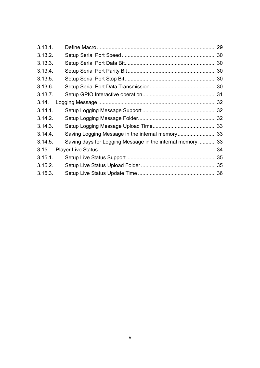| 3.13.1. |                                                            |  |
|---------|------------------------------------------------------------|--|
| 3.13.2. |                                                            |  |
| 3.13.3. |                                                            |  |
| 3.13.4. |                                                            |  |
| 3.13.5. |                                                            |  |
| 3.13.6. |                                                            |  |
| 3.13.7. |                                                            |  |
| 3.14.   |                                                            |  |
| 3.14.1. |                                                            |  |
| 3.14.2. |                                                            |  |
| 3.14.3. |                                                            |  |
| 3.14.4. | Saving Logging Message in the internal memory 33           |  |
| 3.14.5. | Saving days for Logging Message in the internal memory  33 |  |
| 3.15.   |                                                            |  |
| 3.15.1. |                                                            |  |
| 3.15.2. |                                                            |  |
| 3.15.3. |                                                            |  |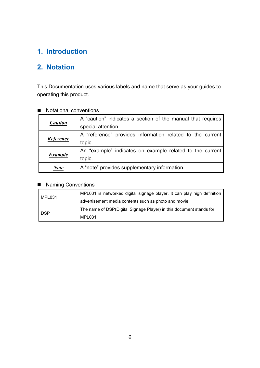## **1. Introduction**

## **2. Notation**

This Documentation uses various labels and name that serve as your guides to operating this product.

| <b>Caution</b> | A "caution" indicates a section of the manual that requires<br>special attention. |
|----------------|-----------------------------------------------------------------------------------|
| Reference      | A "reference" provides information related to the current<br>topic.               |
| <b>Example</b> | An "example" indicates on example related to the current<br>topic.                |
| $\sqrt{\eta}$  | A "note" provides supplementary information.                                      |

#### ■ Notational conventions

#### ■ Naming Conventions

| MPL031     | MPL031 is networked digital signage player. It can play high definition |
|------------|-------------------------------------------------------------------------|
|            | advertisement media contents such as photo and movie.                   |
|            | The name of DSP(Digital Signage Player) in this document stands for     |
| <b>DSP</b> | MPL031                                                                  |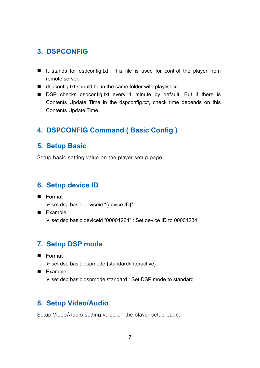## **3. DSPCONFIG**

- It stands for dspconfig.txt. This file is used for control the player from remote server.
- dspconfig.txt should be in the same folder with playlist.txt.
- DSP checks dspconfig.txt every 1 minute by default. But if there is Contents Update Time in the dspconfig.txt, check time depends on this Contents Update Time.

## **4. DSPCONFIG Command ( Basic Config )**

#### **5. Setup Basic**

Setup basic setting value on the player setup page.

#### **6. Setup device ID**

- **Format** 
	- > set dsp basic deviceid "{device ID}"
- **Example** - set dsp basic deviceid "00001234" : Set device ID to 00001234

## **7. Setup DSP mode**

- **Format** 
	- > set dsp basic dspmode {standard/interactive}
- **Example** 
	- set dsp basic dspmode standard : Set DSP mode to standard

## **8. Setup Video/Audio**

Setup Video/Audio setting value on the player setup page.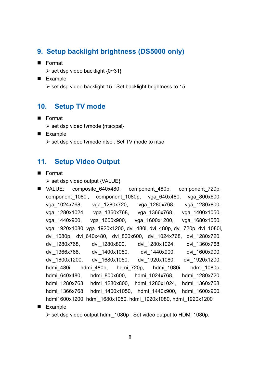## **9. Setup backlight brightness (DS5000 only)**

- **Format** 
	- > set dsp video backlight {0~31}
- **Example** 
	- ▶ set dsp video backlight 15 : Set backlight brightness to 15

## **10. Setup TV mode**

- **Format** 
	- > set dsp video tvmode {ntsc/pal}
- **Example** 
	- > set dsp video tvmode ntsc : Set TV mode to ntsc

## **11. Setup Video Output**

**Format** 

> set dsp video output {VALUE}

- VALUE: composite 640x480, component 480p, component 720p, component\_1080i, component\_1080p, vga\_640x480, vga\_800x600, vga\_1024x768, vga\_1280x720, vga\_1280x768, vga\_1280x800, vga\_1280x1024, vga\_1360x768, vga\_1366x768, vga\_1400x1050, vga\_1440x900, vga\_1600x900, vga\_1600x1200, vga\_1680x1050, vga\_1920x1080, vga\_1920x1200, dvi\_480i, dvi\_480p, dvi\_720p, dvi\_1080i, dvi\_1080p, dvi\_640x480, dvi\_800x600, dvi\_1024x768, dvi\_1280x720, dvi\_1280x768, dvi\_1280x800, dvi\_1280x1024, dvi\_1360x768, dvi\_1366x768, dvi\_1400x1050, dvi\_1440x900, dvi\_1600x900, dvi\_1600x1200, dvi\_1680x1050, dvi\_1920x1080, dvi\_1920x1200, hdmi\_480i, hdmi\_480p, hdmi\_720p, hdmi\_1080i, hdmi\_1080p, hdmi\_640x480, hdmi\_800x600, hdmi\_1024x768, hdmi\_1280x720, hdmi\_1280x768, hdmi\_1280x800, hdmi\_1280x1024, hdmi\_1360x768, hdmi\_1366x768, hdmi\_1400x1050, hdmi\_1440x900, hdmi\_1600x900, hdmi1600x1200, hdmi\_1680x1050, hdmi\_1920x1080, hdmi\_1920x1200
- **Example** 
	- > set dsp video output hdmi\_1080p : Set video output to HDMI 1080p.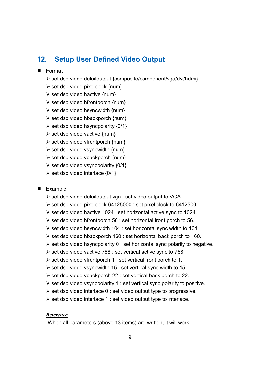### **12. Setup User Defined Video Output**

#### **Format**

- > set dsp video detailoutput {composite/component/vga/dvi/hdmi}
- > set dsp video pixelclock {num}
- > set dsp video hactive {num}
- > set dsp video hfrontporch {num}
- > set dsp video hsyncwidth {num}
- > set dsp video hbackporch {num}
- $\triangleright$  set dsp video hsyncpolarity  $\{0/1\}$
- > set dsp video vactive {num}
- > set dsp video vfrontporch {num}
- > set dsp video vsyncwidth {num}
- > set dsp video vbackporch {num}
- $\triangleright$  set dsp video vsyncpolarity  $\{0/1\}$
- $\triangleright$  set dsp video interlace  $\{0/1\}$

#### **Example**

- set dsp video detailoutput vga : set video output to VGA.
- ▶ set dsp video pixelclock 64125000 : set pixel clock to 6412500.
- set dsp video hactive 1024 : set horizontal active sync to 1024.
- > set dsp video hfrontporch 56 : set horizontal front porch to 56.
- set dsp video hsyncwidth 104 : set horizontal sync width to 104.
- > set dsp video hbackporch 160 : set horizontal back porch to 160.
- set dsp video hsyncpolarity 0 : set horizontal sync polarity to negative.
- ▶ set dsp video vactive 768 : set vertical active sync to 768.
- > set dsp video vfrontporch 1 : set vertical front porch to 1.
- set dsp video vsyncwidth 15 : set vertical sync width to 15.
- set dsp video vbackporch 22 : set vertical back porch to 22.
- set dsp video vsyncpolarity 1 : set vertical sync polarity to positive.
- set dsp video interlace 0 : set video output type to progressive.
- set dsp video interlace 1 : set video output type to interlace.

#### *Reference*

When all parameters (above 13 items) are written, it will work.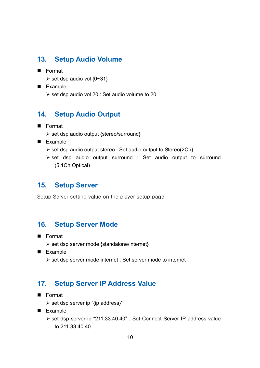## **13. Setup Audio Volume**

- **Format** 
	- $\triangleright$  set dsp audio vol {0~31}
- **Example** 
	- set dsp audio vol 20 : Set audio volume to 20

### **14. Setup Audio Output**

- **Format** 
	- > set dsp audio output {stereo/surround}
- **Example** 
	- ▶ set dsp audio output stereo : Set audio output to Stereo(2Ch).
	- > set dsp audio output surround : Set audio output to surround (5.1Ch,Optical)

#### **15. Setup Server**

Setup Server setting value on the player setup page

#### **16. Setup Server Mode**

- **Format** 
	- > set dsp server mode {standalone/internet}
- **Example** 
	- set dsp server mode internet : Set server mode to internet

#### **17. Setup Server IP Address Value**

- Format
	- > set dsp server ip "{ip address}"
- **Example** 
	- > set dsp server ip "211.33.40.40" : Set Connect Server IP address value to 211.33.40.40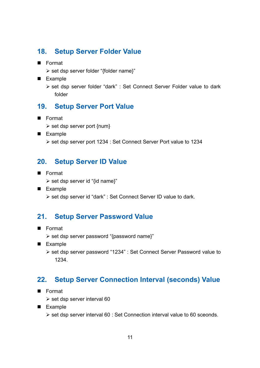## **18. Setup Server Folder Value**

- **Format** 
	- > set dsp server folder "{folder name}"
- **Example** 
	- > set dsp server folder "dark" : Set Connect Server Folder value to dark folder

## **19. Setup Server Port Value**

- **Format** 
	- > set dsp server port {num}
- **Example** 
	- set dsp server port 1234 : Set Connect Server Port value to 1234

### **20. Setup Server ID Value**

- **Format** 
	- > set dsp server id "{id name}"
- Example - set dsp server id "dark" : Set Connect Server ID value to dark.

## **21. Setup Server Password Value**

- Format
	- > set dsp server password "{password name}"
- **Example** 
	- set dsp server password "1234" : Set Connect Server Password value to 1234.

## **22. Setup Server Connection Interval (seconds) Value**

- **Format** 
	- > set dsp server interval 60
- **Example** 
	- > set dsp server interval 60 : Set Connection interval value to 60 sceonds.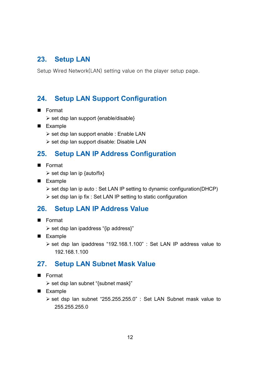## **23. Setup LAN**

Setup Wired Network(LAN) setting value on the player setup page.

## **24. Setup LAN Support Configuration**

- **Format** 
	- > set dsp lan support {enable/disable}
- **Example** 
	- set dsp lan support enable : Enable LAN
	- set dsp lan support disable: Disable LAN

## **25. Setup LAN IP Address Configuration**

- **Format** 
	- > set dsp lan ip {auto/fix}
- **Example** 
	- > set dsp lan ip auto : Set LAN IP setting to dynamic configuration(DHCP)
	- ▶ set dsp lan ip fix : Set LAN IP setting to static configuration

## **26. Setup LAN IP Address Value**

- Format
	- > set dsp lan ipaddress "{ip address}"
- **Example** 
	- > set dsp lan ipaddress "192.168.1.100" : Set LAN IP address value to 192.168.1.100

## **27. Setup LAN Subnet Mask Value**

- Format
	- > set dsp lan subnet "{subnet mask}"
- **Example** 
	- > set dsp lan subnet "255.255.255.0" : Set LAN Subnet mask value to 255.255.255.0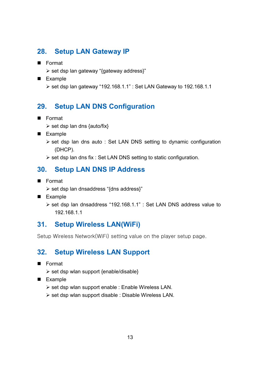## **28. Setup LAN Gateway IP**

- **Format** 
	- > set dsp lan gateway "{gateway address}"
- **Example** 
	- ▶ set dsp lan gateway "192.168.1.1" : Set LAN Gateway to 192.168.1.1

## **29. Setup LAN DNS Configuration**

- **Format** 
	- > set dsp lan dns {auto/fix}
- **Example** 
	- > set dsp lan dns auto : Set LAN DNS setting to dynamic configuration (DHCP).
	- ▶ set dsp lan dns fix : Set LAN DNS setting to static configuration.

### **30. Setup LAN DNS IP Address**

- Format
	- > set dsp lan dnsaddress "{dns address}"
- **Example** 
	- set dsp lan dnsaddress "192.168.1.1" : Set LAN DNS address value to 192.168.1.1

#### **31. Setup Wireless LAN(WiFi)**

Setup Wireless Network(WiFi) setting value on the player setup page.

### **32. Setup Wireless LAN Support**

- Format
	- > set dsp wlan support {enable/disable}
- **Example** 
	- > set dsp wlan support enable : Enable Wireless LAN.
	- > set dsp wlan support disable : Disable Wireless LAN.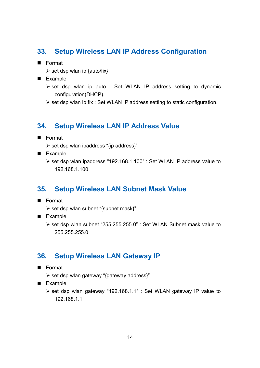## **33. Setup Wireless LAN IP Address Configuration**

- **Format** 
	- > set dsp wlan ip {auto/fix}
- **Example** 
	- > set dsp wlan ip auto : Set WLAN IP address setting to dynamic configuration(DHCP).
	- ▶ set dsp wlan ip fix : Set WLAN IP address setting to static configuration.

## **34. Setup Wireless LAN IP Address Value**

- Format
	- > set dsp wlan ipaddress "{ip address}"
- **Example** 
	- set dsp wlan ipaddress "192.168.1.100" : Set WLAN IP address value to 192.168.1.100

#### **35. Setup Wireless LAN Subnet Mask Value**

- **Format** 
	- > set dsp wlan subnet "{subnet mask}"
- Example
	- set dsp wlan subnet "255.255.255.0" : Set WLAN Subnet mask value to 255.255.255.0

#### **36. Setup Wireless LAN Gateway IP**

- Format
	- > set dsp wlan gateway "{gateway address}"
- **Example** 
	- set dsp wlan gateway "192.168.1.1" : Set WLAN gateway IP value to 192.168.1.1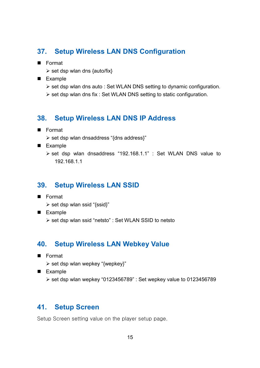## **37. Setup Wireless LAN DNS Configuration**

- **Format** 
	- > set dsp wlan dns {auto/fix}
- **Example** 
	- > set dsp wlan dns auto : Set WLAN DNS setting to dynamic configuration.
	- ▶ set dsp wlan dns fix : Set WLAN DNS setting to static configuration.

#### **38. Setup Wireless LAN DNS IP Address**

- **Format** 
	- > set dsp wlan dnsaddress "{dns address}"
- **Example** 
	- set dsp wlan dnsaddress "192.168.1.1" : Set WLAN DNS value to 192.168.1.1

#### **39. Setup Wireless LAN SSID**

- Format
	- > set dsp wlan ssid "{ssid}"
- **Example** 
	- > set dsp wlan ssid "netsto" : Set WLAN SSID to netsto

#### **40. Setup Wireless LAN Webkey Value**

- Format
	- > set dsp wlan wepkey "{wepkey}"
- **Example** 
	- ▶ set dsp wlan wepkey "0123456789" : Set wepkey value to 0123456789

#### **41. Setup Screen**

Setup Screen setting value on the player setup page.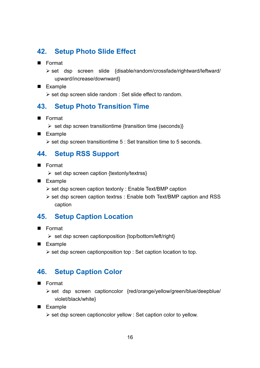## **42. Setup Photo Slide Effect**

- **Format** 
	- > set dsp screen slide {disable/random/crossfade/rightward/leftward/ upward/increase/downward}
- **Example** 
	- > set dsp screen slide random : Set slide effect to random.

### **43. Setup Photo Transition Time**

- **Format** 
	- > set dsp screen transitiontime {transition time (seconds)}
- **Example** 
	- ▶ set dsp screen transitiontime 5 : Set transition time to 5 seconds.

## **44. Setup RSS Support**

- **Format** 
	- > set dsp screen caption {textonly/textrss}
- **Example** 
	- set dsp screen caption textonly : Enable Text/BMP caption
	- > set dsp screen caption textrss : Enable both Text/BMP caption and RSS caption

## **45. Setup Caption Location**

- Format
	- > set dsp screen captionposition {top/bottom/left/right}
- **Example** 
	- set dsp screen captionposition top : Set caption location to top.

#### **46. Setup Caption Color**

- Format
	- > set dsp screen captioncolor {red/orange/yellow/green/blue/deepblue/ violet/black/white}
- **Example** 
	- > set dsp screen captioncolor yellow : Set caption color to yellow.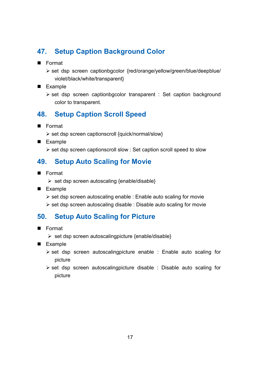## **47. Setup Caption Background Color**

- **Format** 
	- > set dsp screen captionbgcolor {red/orange/yellow/green/blue/deepblue/ violet/black/white/transparent}
- **Example** 
	- > set dsp screen captionbgcolor transparent : Set caption background color to transparent.

## **48. Setup Caption Scroll Speed**

- **Format** 
	- > set dsp screen captionscroll {quick/normal/slow}
- **Example** 
	- set dsp screen captionscroll slow : Set caption scroll speed to slow

### **49. Setup Auto Scaling for Movie**

- **Format** 
	- > set dsp screen autoscaling {enable/disable}
- Example
	- > set dsp screen autoscaling enable : Enable auto scaling for movie
	- set dsp screen autoscaling disable : Disable auto scaling for movie

#### **50. Setup Auto Scaling for Picture**

- Format
	- > set dsp screen autoscalingpicture {enable/disable}
- **Example** 
	- > set dsp screen autoscalingpicture enable : Enable auto scaling for picture
	- > set dsp screen autoscalingpicture disable : Disable auto scaling for picture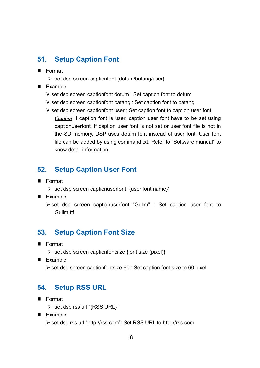## **51. Setup Caption Font**

- **Format** 
	- > set dsp screen captionfont {dotum/batang/user}
- **Example** 
	- > set dsp screen captionfont dotum : Set caption font to dotum
	- set dsp screen captionfont batang : Set caption font to batang
	- > set dsp screen captionfont user : Set caption font to caption user font *Caution* If caption font is user, caption user font have to be set using captionuserfont. If caption user font is not set or user font file is not in the SD memory, DSP uses dotum font instead of user font. User font file can be added by using command.txt. Refer to "Software manual" to know detail information.

## **52. Setup Caption User Font**

- Format
	- > set dsp screen captionuserfont "{user font name}"
- **Example** 
	- > set dsp screen captionuserfont "Gulim" : Set caption user font to Gulim.ttf

## **53. Setup Caption Font Size**

- **Format** 
	- > set dsp screen captionfontsize {font size (pixel)}
- **Example** 
	- set dsp screen captionfontsize 60 : Set caption font size to 60 pixel

#### **54. Setup RSS URL**

- **Format** 
	- > set dsp rss url "{RSS URL}"
- **Example** 
	- set dsp rss url "http://rss.com": Set RSS URL to http://rss.com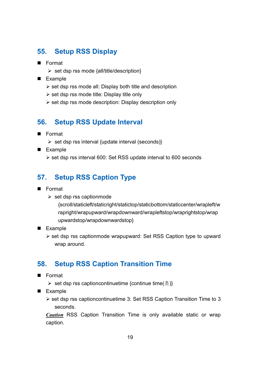## **55. Setup RSS Display**

- **Format** 
	- > set dsp rss mode {all/title/description}
- **Example** 
	- set dsp rss mode all: Display both title and description
	- set dsp rss mode title: Display title only
	- > set dsp rss mode description: Display description only

#### **56. Setup RSS Update Interval**

- **Format** 
	- > set dsp rss interval {update interval (seconds)}
- **Example** 
	- ▶ set dsp rss interval 600: Set RSS update interval to 600 seconds

## **57. Setup RSS Caption Type**

- **Format** 
	- > set dsp rss captionmode
		- {scroll/staticleft/staticright/statictop/staticbottom/staticcenter/wrapleft/w rapright/wrapupward/wrapdownward/wrapleftstop/wraprightstop/wrap upwardstop/wrapdownwardstop}
- **Example** 
	- > set dsp rss captionmode wrapupward: Set RSS Caption type to upward wrap around.

## **58. Setup RSS Caption Transition Time**

- Format
	- ▶ set dsp rss captioncontinuetime {continue time(초)}
- **Example** 
	- > set dsp rss captioncontinuetime 3: Set RSS Caption Transition Time to 3 seconds.

*Caution* RSS Caption Transition Time is only available static or wrap caption.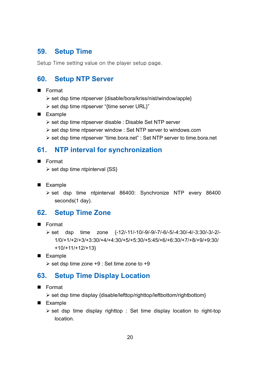## **59. Setup Time**

Setup Time setting value on the player setup page.

## **60. Setup NTP Server**

- Format
	- > set dsp time ntpserver {disable/bora/kriss/nist/window/apple}
	- > set dsp time ntpserver "{time server URL}"
- **Example** 
	- set dsp time ntpserver disable : Disable Set NTP server
	- > set dsp time ntpserver window : Set NTP server to windows.com
	- > set dsp time ntpserver "time.bora.net" : Set NTP server to time.bora.net

#### **61. NTP interval for synchronization**

- Format
	- > set dsp time ntpinterval {SS}
- **Example** 
	- > set dsp time ntpinterval 86400: Synchronize NTP every 86400 seconds(1 day).

#### **62. Setup Time Zone**

- Format
	- > set dsp time zone {-12/-11/-10/-9/-9/-7/-6/-5/-4:30/-4/-3:30/-3/-2/-1/0/+1/+2/+3/+3:30/+4/+4:30/+5/+5:30/+5:45/+6/+6:30/+7/+8/+9/+9:30/ +10/+11/+12/+13}
- **Example** 
	- ▶ set dsp time zone +9 : Set time zone to +9

#### **63. Setup Time Display Location**

- Format
	- > set dsp time display {disable/lefttop/righttop/leftbottom/rightbottom}
- **Example** 
	- > set dsp time display righttop : Set time display location to right-top location.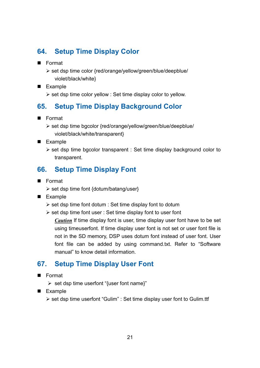## **64. Setup Time Display Color**

- **Format** 
	- > set dsp time color {red/orange/yellow/green/blue/deepblue/ violet/black/white}
- **Example** 
	- set dsp time color yellow : Set time display color to yellow.

## **65. Setup Time Display Background Color**

- **Format** 
	- > set dsp time bgcolor {red/orange/yellow/green/blue/deepblue/ violet/black/white/transparent}
- **Example** 
	- > set dsp time bgcolor transparent : Set time display background color to transparent.

## **66. Setup Time Display Font**

- **Format** 
	- > set dsp time font {dotum/batang/user}
- **Example** 
	- set dsp time font dotum : Set time display font to dotum
	- ▶ set dsp time font user : Set time display font to user font
		- *Caution* If time display font is user, time display user font have to be set using timeuserfont. If time display user font is not set or user font file is not in the SD memory, DSP uses dotum font instead of user font. User font file can be added by using command.txt. Refer to "Software manual" to know detail information.

## **67. Setup Time Display User Font**

- Format
	- > set dsp time userfont "{user font name}"
- **Example** 
	- > set dsp time userfont "Gulim" : Set time display user font to Gulim.ttf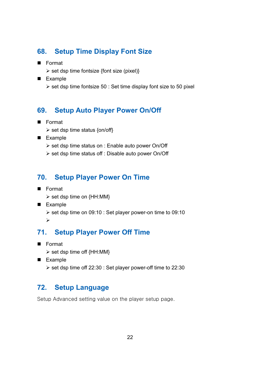## **68. Setup Time Display Font Size**

- **Format** 
	- > set dsp time fontsize {font size (pixel)}
- **Example** 
	- ▶ set dsp time fontsize 50 : Set time display font size to 50 pixel

#### **69. Setup Auto Player Power On/Off**

- **Format** 
	- > set dsp time status {on/off}
- **Example** 
	- > set dsp time status on : Enable auto power On/Off
	- > set dsp time status off : Disable auto power On/Off

## **70. Setup Player Power On Time**

- **Format** 
	- > set dsp time on {HH:MM}
- **Example** 
	- ▶ set dsp time on 09:10 : Set player power-on time to 09:10  $\blacktriangleright$

## **71. Setup Player Power Off Time**

- Format
	- > set dsp time off {HH:MM}
- **Example** 
	- ▶ set dsp time off 22:30 : Set player power-off time to 22:30

#### **72. Setup Language**

Setup Advanced setting value on the player setup page.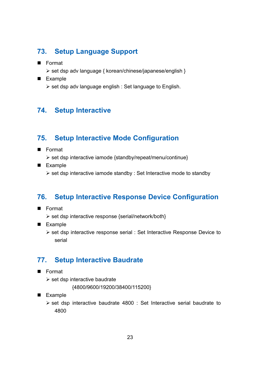## **73. Setup Language Support**

- **Format** 
	- set dsp adv language { korean/chinese/japanese/english }
- **Example** 
	- set dsp adv language english : Set language to English.

## **74. Setup Interactive**

## **75. Setup Interactive Mode Configuration**

- **Format** 
	- > set dsp interactive iamode {standby/repeat/menu/continue}
- **Example** 
	- set dsp interactive iamode standby : Set Interactive mode to standby

## **76. Setup Interactive Response Device Configuration**

- Format
	- > set dsp interactive response {serial/network/both}
- **Example** 
	- set dsp interactive response serial : Set Interactive Response Device to serial

## **77. Setup Interactive Baudrate**

- Format
	- > set dsp interactive baudrate

```
 {4800/9600/19200/38400/115200}
```
- **Example** 
	- > set dsp interactive baudrate 4800 : Set Interactive serial baudrate to 4800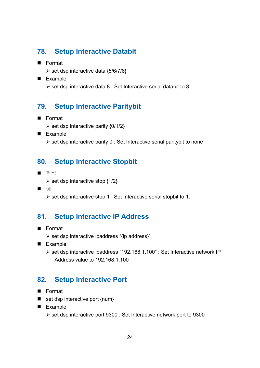## **78. Setup Interactive Databit**

- **Format** 
	- ▶ set dsp interactive data {5/6/7/8}
- **Example** 
	- $\triangleright$  set dsp interactive data 8 : Set Interactive serial databit to 8

## **79. Setup Interactive Paritybit**

- **Format** 
	- $\triangleright$  set dsp interactive parity {0/1/2}
- **Example** 
	- ▶ set dsp interactive parity 0 : Set Interactive serial paritybit to none

## **80. Setup Interactive Stopbit**

- 형식
	- $\triangleright$  set dsp interactive stop {1/2}
- $\blacksquare$  ( $\blacksquare$ )

- set dsp interactive stop 1 : Set Interactive serial stopbit to 1.

## **81. Setup Interactive IP Address**

- Format
	- > set dsp interactive ipaddress "{ip address}"
- **Example** 
	- > set dsp interactive ipaddress "192.168.1.100" : Set Interactive network IP Address value to 192.168.1.100

#### **82. Setup Interactive Port**

- **Format**
- $\blacksquare$  set dsp interactive port {num}
- **Example** 
	- set dsp interactive port 9300 : Set Interactive network port to 9300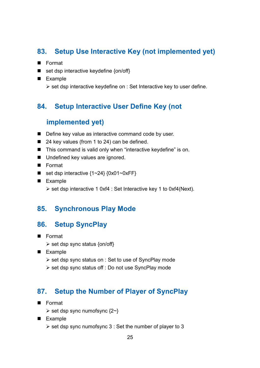## **83. Setup Use Interactive Key (not implemented yet)**

- **Format**
- $\blacksquare$  set dsp interactive keydefine {on/off}
- **Example** 
	- ▶ set dsp interactive keydefine on : Set Interactive key to user define.

### **84. Setup Interactive User Define Key (not**

#### **implemented yet)**

- Define key value as interactive command code by user.
- 24 key values (from 1 to 24) can be defined.
- This command is valid only when "interactive keydefine" is on.
- **Undefined key values are ignored.**
- **Format**
- set dsp interactive  ${1~24}$   ${0x01~0xFF}$
- **Example** 
	- ▶ set dsp interactive 1 0xf4 : Set Interactive key 1 to 0xf4(Next).

#### **85. Synchronous Play Mode**

### **86. Setup SyncPlay**

- **Format** 
	- > set dsp sync status {on/off}
- **Example** 
	- ▶ set dsp sync status on : Set to use of SyncPlay mode
	- > set dsp sync status off : Do not use SyncPlay mode

### **87. Setup the Number of Player of SyncPlay**

- **Format** 
	- > set dsp sync numofsync {2~}
- **Example** 
	- > set dsp sync numofsync 3 : Set the number of player to 3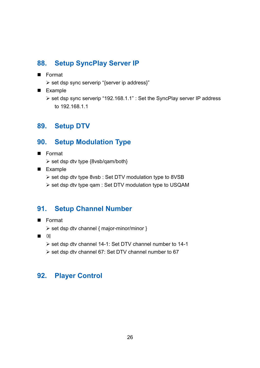## **88. Setup SyncPlay Server IP**

- **Format** 
	- > set dsp sync serverip "{server ip address}"
- **Example** 
	- > set dsp sync serverip "192.168.1.1" : Set the SyncPlay server IP address to 192.168.1.1

## **89. Setup DTV**

## **90. Setup Modulation Type**

- **Format** 
	- > set dsp dtv type {8vsb/qam/both}
- **Example** 
	- > set dsp dtv type 8vsb : Set DTV modulation type to 8VSB
	- set dsp dtv type qam : Set DTV modulation type to USQAM

## **91. Setup Channel Number**

- **Format** 
	- > set dsp dtv channel { major-minor/minor }
- $\blacksquare$   $\blacksquare$ 
	- set dsp dtv channel 14-1: Set DTV channel number to 14-1
	- > set dsp dtv channel 67: Set DTV channel number to 67

## **92. Player Control**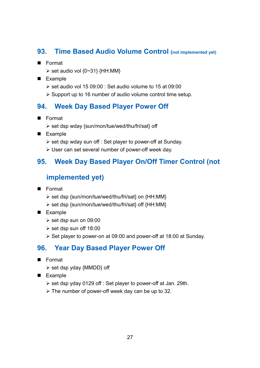## **93. Time Based Audio Volume Control (not implemented yet)**

- **Format** 
	- $\triangleright$  set audio vol {0~31} {HH:MM}
- **Example** 
	- ▶ set audio vol 15 09:00 : Set audio volume to 15 at 09:00
	- > Support up to 16 number of audio volume control time setup.

## **94. Week Day Based Player Power Off**

- **Format** 
	- > set dsp wday {sun/mon/tue/wed/thu/fri/sat} off
- **Example** 
	- ▶ set dsp wday sun off : Set player to power-off at Sunday.
	- > User can set several number of power-off week day.

## **95. Week Day Based Player On/Off Timer Control (not**

## **implemented yet)**

- Format
	- > set dsp {sun/mon/tue/wed/thu/fri/sat} on {HH:MM}
	- > set dsp {sun/mon/tue/wed/thu/fri/sat} off {HH:MM}
- Example
	- > set dsp sun on 09:00
	- > set dsp sun off 18:00
	- ▶ Set player to power-on at 09:00 and power-off at 18:00 at Sunday.

## **96. Year Day Based Player Power Off**

- **Format** 
	- > set dsp yday {MMDD} off
- **Example** 
	- set dsp yday 0129 off : Set player to power-off at Jan. 29th.
	- > The number of power-off week day can be up to 32.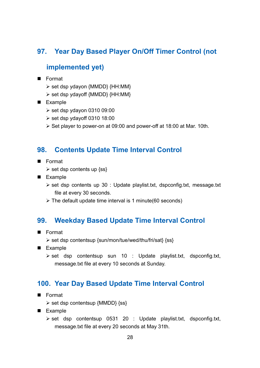## **97. Year Day Based Player On/Off Timer Control (not**

### **implemented yet)**

- Format
	- > set dsp ydayon {MMDD} {HH:MM}
	- > set dsp ydayoff {MMDD} {HH:MM}
- **Example** 
	- set dsp ydayon 0310 09:00
	- set dsp ydayoff 0310 18:00
	- ▶ Set player to power-on at 09:00 and power-off at 18:00 at Mar. 10th.

#### **98. Contents Update Time Interval Control**

- Format
	- > set dsp contents up {ss}
- **Example** 
	- > set dsp contents up 30 : Update playlist.txt, dspconfig.txt, message.txt file at every 30 seconds.
	- > The default update time interval is 1 minute(60 seconds)

#### **99. Weekday Based Update Time Interval Control**

- **Format** 
	- > set dsp contentsup {sun/mon/tue/wed/thu/fri/sat} {ss}
- **Example** 
	- > set dsp contentsup sun 10 : Update playlist.txt, dspconfig.txt, message.txt file at every 10 seconds at Sunday.

#### **100. Year Day Based Update Time Interval Control**

- Format
	- > set dsp contentsup {MMDD} {ss}
- **Example** 
	- > set dsp contentsup 0531 20 : Update playlist.txt, dspconfig.txt, message.txt file at every 20 seconds at May 31th.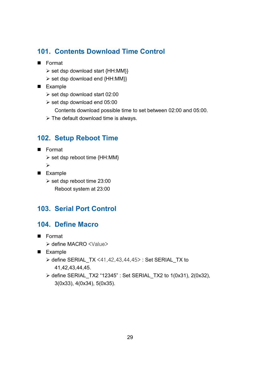## **101. Contents Download Time Control**

- **Format** 
	- > set dsp download start {HH:MM}}
	- > set dsp download end {HH:MM}}
- **Example** 
	- set dsp download start 02:00
	- > set dsp download end 05:00
		- Contents download possible time to set between 02:00 and 05:00.
	- > The default download time is always.

### **102. Setup Reboot Time**

- **Format** 
	- > set dsp reboot time {HH:MM}
	- $\blacktriangleright$
- **Example** 
	- ► set dsp reboot time 23:00
		- Reboot system at 23:00

#### **103. Serial Port Control**

#### **104. Define Macro**

- **Format** 
	- > define MACRO <Value>
- **Example** 
	- > define SERIAL\_TX <41,42,43,44,45>: Set SERIAL\_TX to 41,42,43,44,45.
	- define SERIAL\_TX2 "12345" : Set SERIAL\_TX2 to 1(0x31), 2(0x32), 3(0x33), 4(0x34), 5(0x35).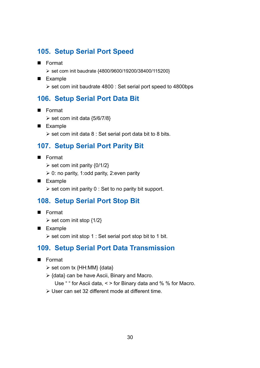## **105. Setup Serial Port Speed**

- **Format** 
	- ▶ set com init baudrate {4800/9600/19200/38400/115200}
- **Example** 
	- ▶ set com init baudrate 4800 : Set serial port speed to 4800bps

### **106. Setup Serial Port Data Bit**

- **Format** 
	- $\triangleright$  set com init data {5/6/7/8}
- **Example** 
	- $\triangleright$  set com init data 8 : Set serial port data bit to 8 bits.

## **107. Setup Serial Port Parity Bit**

- Format
	- $\triangleright$  set com init parity  $\{0/1/2\}$
	- ▶ 0: no parity, 1:odd parity, 2:even parity
- **Example** 
	- ▶ set com init parity 0 : Set to no parity bit support.

#### **108. Setup Serial Port Stop Bit**

- **Format** 
	- $\triangleright$  set com init stop {1/2}
- **Example** 
	- set com init stop 1 : Set serial port stop bit to 1 bit.

## **109. Setup Serial Port Data Transmission**

- **Format** 
	- > set com tx {HH:MM} {data}
	- ▶ {data} can be have Ascii, Binary and Macro.

Use " " for Ascii data, < > for Binary data and % % for Macro.

> User can set 32 different mode at different time.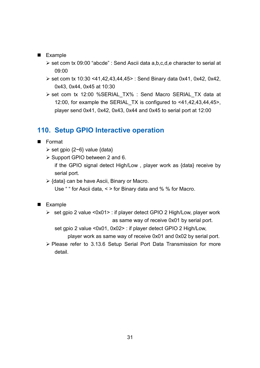#### **Example**

- > set com tx 09:00 "abcde" : Send Ascii data a,b,c,d,e character to serial at 09:00
- set com tx 10:30 <41,42,43,44,45> : Send Binary data 0x41, 0x42, 0x42, 0x43, 0x44, 0x45 at 10:30
- > set com tx 12:00 %SERIAL\_TX% : Send Macro SERIAL\_TX data at 12:00, for example the SERIAL\_TX is configured to <41,42,43,44,45>, player send 0x41, 0x42, 0x43, 0x44 and 0x45 to serial port at 12:00

### **110. Setup GPIO Interactive operation**

- Format
	- $\triangleright$  set gpio {2~6} value {data}
	- ▶ Support GPIO between 2 and 6.

if the GPIO signal detect High/Low , player work as {data} receive by serial port.

▶ {data} can be have Ascii, Binary or Macro.

Use " " for Ascii data, < > for Binary data and % % for Macro.

#### **Example**

> set gpio 2 value <0x01> : if player detect GPIO 2 High/Low, player work as same way of receive 0x01 by serial port.

set gpio 2 value <0x01, 0x02> : if player detect GPIO 2 High/Low,

player work as same way of receive 0x01 and 0x02 by serial port.

> Please refer to 3.13.6 Setup Serial Port Data Transmission for more detail.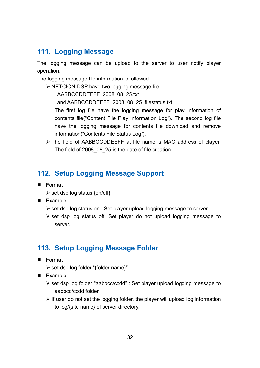## **111. Logging Message**

The logging message can be upload to the server to user notify player operation.

The logging message file information is followed.

> NETCION-DSP have two logging message file,

AABBCCDDEEFF\_2008\_08\_25.txt

and AABBCCDDEEFF\_2008\_08\_25\_filestatus.txt

The first log file have the logging message for play information of contents file("Content File Play Information Log"). The second log file have the logging message for contents file download and remove information("Contents File Status Log").

> The field of AABBCCDDEEFF at file name is MAC address of player. The field of 2008\_08\_25 is the date of file creation.

## **112. Setup Logging Message Support**

- Format
	- > set dsp log status {on/off}
- **Example** 
	- set dsp log status on : Set player upload logging message to server
	- > set dsp log status off: Set player do not upload logging message to server.

## **113. Setup Logging Message Folder**

- **Format** 
	- > set dsp log folder "{folder name}"
- **Example** 
	- > set dsp log folder "aabbcc/ccdd" : Set player upload logging message to aabbcc/ccdd folder
	- > If user do not set the logging folder, the player will upload log information to log/{site name} of server directory.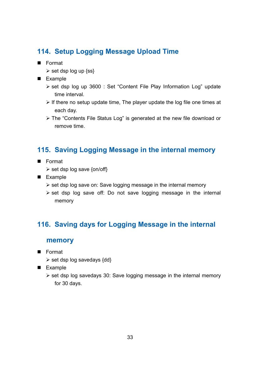## **114. Setup Logging Message Upload Time**

- **Format** 
	- > set dsp log up {ss}
- **Example** 
	- > set dsp log up 3600 : Set "Content File Play Information Log" update time interval.
	- > If there no setup update time, The player update the log file one times at each day.
	- > The "Contents File Status Log" is generated at the new file download or remove time.

## **115. Saving Logging Message in the internal memory**

- Format
	- > set dsp log save {on/off}
- **Example** 
	- > set dsp log save on: Save logging message in the internal memory
	- > set dsp log save off: Do not save logging message in the internal memory

## **116. Saving days for Logging Message in the internal**

#### **memory**

- **Format** 
	- > set dsp log savedays {dd}
- Example
	- > set dsp log savedays 30: Save logging message in the internal memory for 30 days.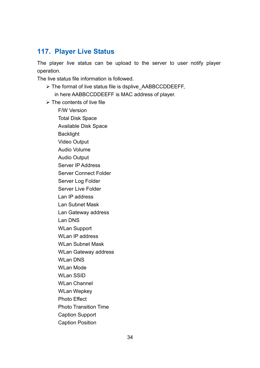## **117. Player Live Status**

The player live status can be upload to the server to user notify player operation.

The live status file information is followed.

- > The format of live status file is dsplive\_AABBCCDDEEFF, in here AABBCCDDEEFF is MAC address of player.
- $\triangleright$  The contents of live file

F/W Version Total Disk Space Available Disk Space **Backlight** Video Output Audio Volume Audio Output Server IP Address Server Connect Folder Server Log Folder Server Live Folder Lan IP address Lan Subnet Mask Lan Gateway address Lan DNS WLan Support WLan IP address WLan Subnet Mask WLan Gateway address WLan DNS WLan Mode WLan SSID WLan Channel WLan Wepkey Photo Effect Photo Transition Time Caption Support Caption Position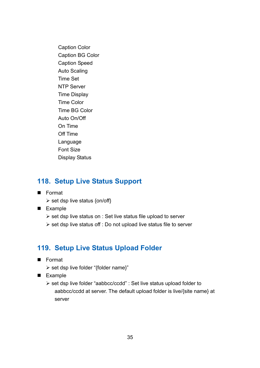Caption Color Caption BG Color Caption Speed Auto Scaling Time Set NTP Server Time Display Time Color Time BG Color Auto On/Off On Time Off Time Language Font Size Display Status

## **118. Setup Live Status Support**

- **E** Format
	- > set dsp live status {on/off}
- **Example** 
	- set dsp live status on : Set live status file upload to server
	- set dsp live status off : Do not upload live status file to server

#### **119. Setup Live Status Upload Folder**

- **Format** 
	- > set dsp live folder "{folder name}"
- **Example** 
	- > set dsp live folder "aabbcc/ccdd" : Set live status upload folder to aabbcc/ccdd at server. The default upload folder is live/{site name} at server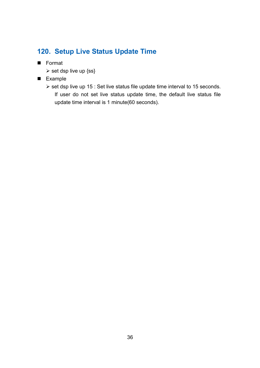## **120. Setup Live Status Update Time**

- **Format** 
	- $\triangleright$  set dsp live up {ss}
- **Example** 
	- ▶ set dsp live up 15 : Set live status file update time interval to 15 seconds. If user do not set live status update time, the default live status file update time interval is 1 minute(60 seconds).